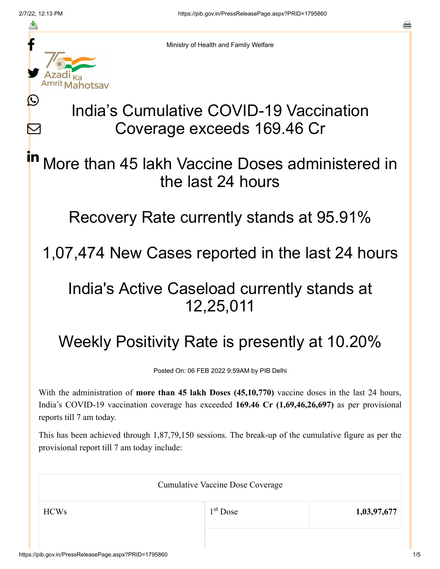≛

Ŀ

 $\bm{\nabla}$ 

Ministry of Health and Family Welfare

# India's Cumulative COVID-19 Vaccination Coverage exceeds 169.46 Cr

### More than 45 lakh Vaccine Doses administered in the last 24 hours in

Recovery Rate currently stands at 95.91%

1,07,474 New Cases reported in the last 24 hours

## India's Active Caseload currently stands at 12,25,011

# Weekly Positivity Rate is presently at 10.20%

Posted On: 06 FEB 2022 9:59AM by PIB Delhi

With the administration of **more than 45 lakh Doses (45,10,770)** vaccine doses in the last 24 hours, India's COVID-19 vaccination coverage has exceeded **169.46 Cr (1,69,46,26,697)** as per provisional reports till 7 am today.

This has been achieved through 1,87,79,150 sessions. The break-up of the cumulative figure as per the provisional report till 7 am today include:

| <b>Cumulative Vaccine Dose Coverage</b> |            |             |  |  |
|-----------------------------------------|------------|-------------|--|--|
| <b>HCWs</b>                             | $1st$ Dose | 1,03,97,677 |  |  |
|                                         |            |             |  |  |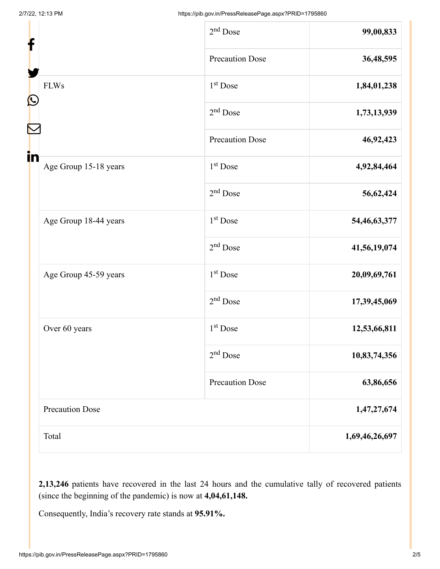| f                 |                        | $2nd$ Dose             | 99,00,833      |
|-------------------|------------------------|------------------------|----------------|
|                   |                        | <b>Precaution Dose</b> | 36,48,595      |
|                   | <b>FLWs</b>            | $1st$ Dose             | 1,84,01,238    |
| $\mathbf{\Omega}$ |                        | $2nd$ Dose             | 1,73,13,939    |
|                   |                        | <b>Precaution Dose</b> | 46,92,423      |
| in                | Age Group 15-18 years  | 1 <sup>st</sup> Dose   | 4,92,84,464    |
|                   |                        | $2nd$ Dose             | 56,62,424      |
|                   | Age Group 18-44 years  | $1st$ Dose             | 54,46,63,377   |
|                   |                        | $2nd$ Dose             | 41,56,19,074   |
|                   | Age Group 45-59 years  | 1 <sup>st</sup> Dose   | 20,09,69,761   |
|                   |                        | $2nd$ Dose             | 17,39,45,069   |
|                   | Over 60 years          | $1st$ Dose             | 12,53,66,811   |
|                   |                        | $2nd$ Dose             | 10,83,74,356   |
|                   |                        | <b>Precaution Dose</b> | 63,86,656      |
|                   | <b>Precaution Dose</b> |                        | 1,47,27,674    |
|                   | Total                  |                        | 1,69,46,26,697 |

**2,13,246** patients have recovered in the last 24 hours and the cumulative tally of recovered patients (since the beginning of the pandemic) is now at **4,04,61,148.**

Consequently, India's recovery rate stands at **95.91%.**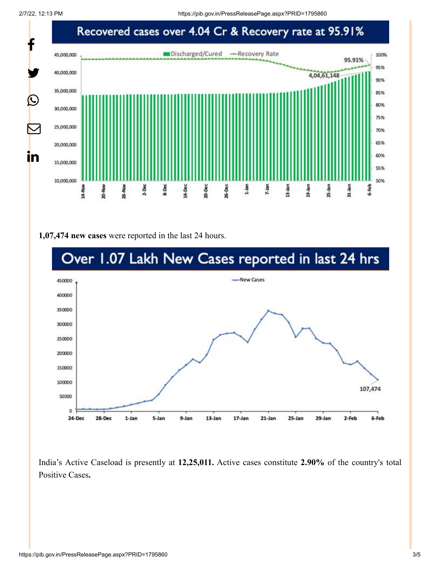

#### **1,07,474 new cases** were reported in the last 24 hours.



India's Active Caseload is presently at **12,25,011.** Active cases constitute **2.90%** of the country's total Positive Cases**.**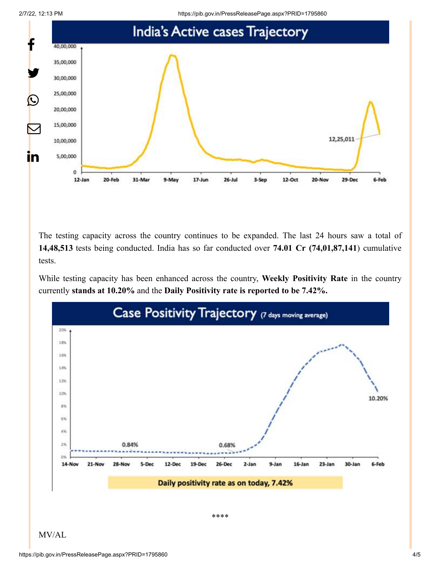2/7/22, 12:13 PM https://pib.gov.in/PressReleasePage.aspx?PRID=1795860



The testing capacity across the country continues to be expanded. The last 24 hours saw a total of **14,48,513** tests being conducted. India has so far conducted over **74.01 Cr (74,01,87,141**) cumulative tests.

While testing capacity has been enhanced across the country, **Weekly Positivity Rate** in the country currently **stands at 10.20%** and the **Daily Positivity rate is reported to be 7.42%.**



MV/AL